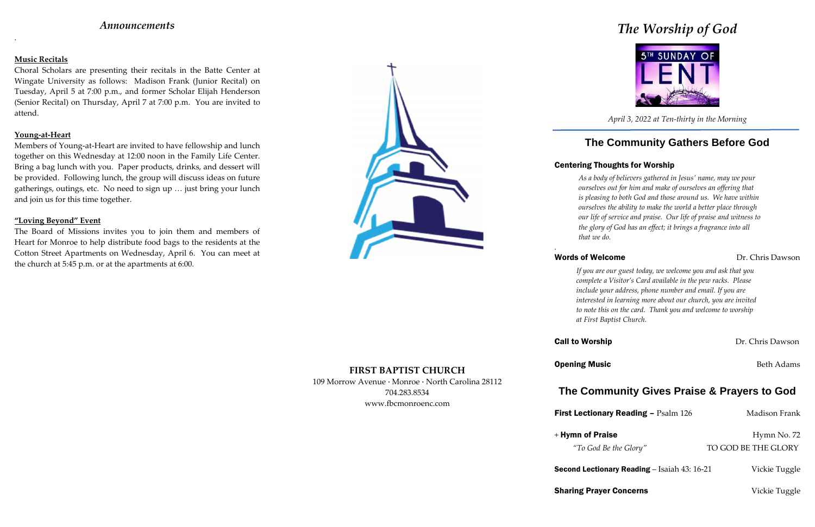## *Announcements*

.

### **Music Recitals**

Choral Scholars are presenting their recitals in the Batte Center at Wingate University as follows: Madison Frank (Junior Recital) on Tuesday, April 5 at 7:00 p.m., and former Scholar Elijah Henderson (Senior Recital) on Thursday, April 7 at 7:00 p.m. You are invited to attend.

### **Young-at-Heart**

Members of Young-at-Heart are invited to have fellowship and lunch together on this Wednesday at 12:00 noon in the Family Life Center. Bring a bag lunch with you. Paper products, drinks, and dessert will be provided. Following lunch, the group will discuss ideas on future gatherings, outings, etc. No need to sign up … just bring your lunch and join us for this time together.

### **"Loving Beyond" Event**

The Board of Missions invites you to join them and members of Heart for Monroe to help distribute food bags to the residents at the Cotton Street Apartments on Wednesday, April 6. You can meet at the church at 5:45 p.m. or at the apartments at 6:00.



**FIRST BAPTIST CHURCH** 109 Morrow Avenue · Monroe · North Carolina 28112 704.283.8534 www.fbcmonroenc.com

# *The Worship of God*



*April 3, 2022 at Ten-thirty in the Morning*

## **The Community Gathers Before God**

## Centering Thoughts for Worship

*As a body of believers gathered in Jesus' name, may we pour ourselves out for him and make of ourselves an offering that is pleasing to both God and those around us. We have within ourselves the ability to make the world a better place through our life of service and praise. Our life of praise and witness to the glory of God has an effect; it brings a fragrance into all*

**Call to Worship Call to Worship Dr. Chris Dawson** 

*that we do.*

## Words of Welcome **Dr.** Chris Dawson

*.*

*If you are our guest today, we welcome you and ask that you complete a Visitor's Card available in the pew racks. Please include your address, phone number and email. If you are interested in learning more about our church, you are invited to note this on the card. Thank you and welcome to worship at First Baptist Church.*

**Opening Music** Beth Adams

**Second Lectionary Reading** – Isaiah 43: 16-21 Vickie Tuggle

**Sharing Prayer Concerns** Vickie Tuggle

## **The Community Gives Praise & Prayers to God**

**First Lectionary Reading – Psalm 126 Madison Frank** 

+ Hymn of Praise Hymn No. 72

*"To God Be the Glory"* TO GOD BE THE GLORY